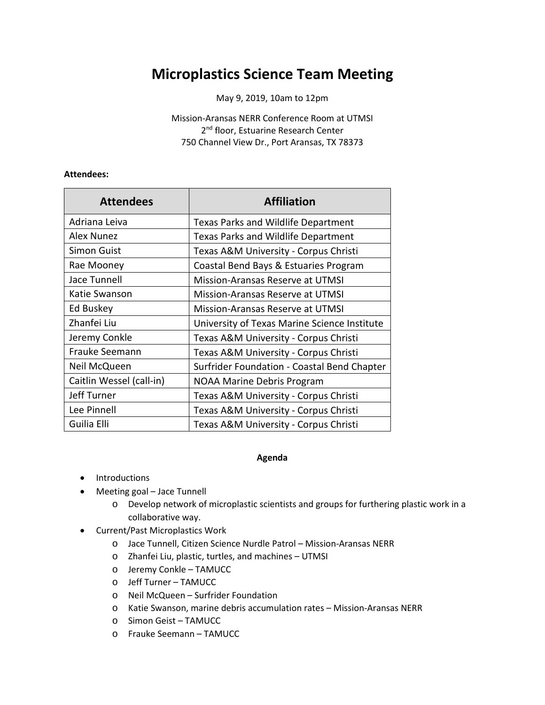## **Microplastics Science Team Meeting**

May 9, 2019, 10am to 12pm

Mission-Aransas NERR Conference Room at UTMSI 2<sup>nd</sup> floor, Estuarine Research Center 750 Channel View Dr., Port Aransas, TX 78373

## **Attendees:**

| <b>Attendees</b>         | <b>Affiliation</b>                           |
|--------------------------|----------------------------------------------|
| Adriana Leiva            | <b>Texas Parks and Wildlife Department</b>   |
| Alex Nunez               | Texas Parks and Wildlife Department          |
| Simon Guist              | Texas A&M University - Corpus Christi        |
| Rae Mooney               | Coastal Bend Bays & Estuaries Program        |
| Jace Tunnell             | <b>Mission-Aransas Reserve at UTMSI</b>      |
| Katie Swanson            | Mission-Aransas Reserve at UTMSI             |
| Ed Buskey                | Mission-Aransas Reserve at UTMSI             |
| Zhanfei Liu              | University of Texas Marine Science Institute |
| Jeremy Conkle            | Texas A&M University - Corpus Christi        |
| Frauke Seemann           | Texas A&M University - Corpus Christi        |
| Neil McQueen             | Surfrider Foundation - Coastal Bend Chapter  |
| Caitlin Wessel (call-in) | <b>NOAA Marine Debris Program</b>            |
| Jeff Turner              | Texas A&M University - Corpus Christi        |
| Lee Pinnell              | Texas A&M University - Corpus Christi        |
| Guilia Elli              | Texas A&M University - Corpus Christi        |

## **Agenda**

- Introductions
- Meeting goal Jace Tunnell
	- o Develop network of microplastic scientists and groups for furthering plastic work in a collaborative way.
- Current/Past Microplastics Work
	- o Jace Tunnell, Citizen Science Nurdle Patrol Mission-Aransas NERR
	- o Zhanfei Liu, plastic, turtles, and machines UTMSI
	- o Jeremy Conkle TAMUCC
	- o Jeff Turner TAMUCC
	- o Neil McQueen Surfrider Foundation
	- o Katie Swanson, marine debris accumulation rates Mission-Aransas NERR
	- o Simon Geist TAMUCC
	- o Frauke Seemann TAMUCC